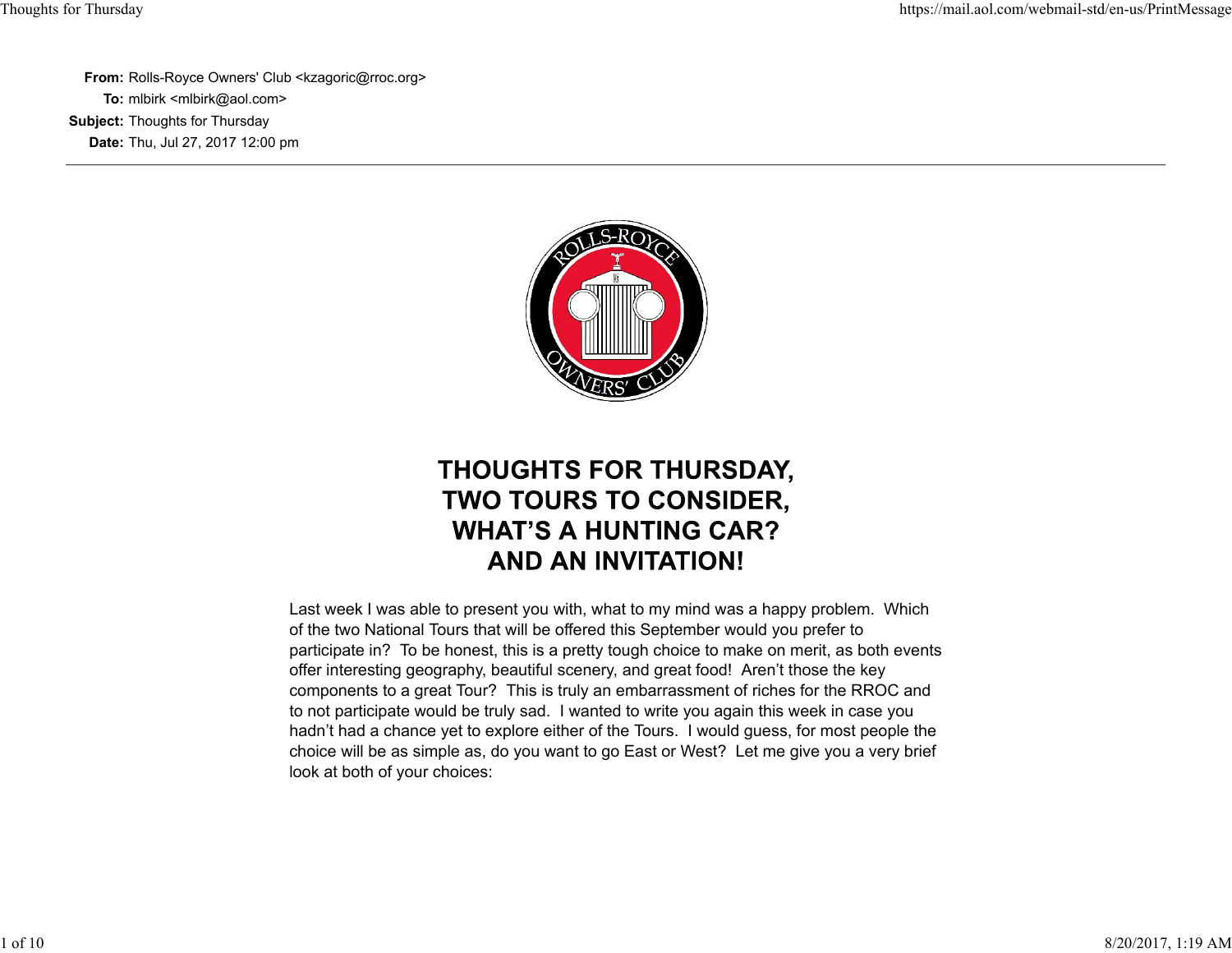**From:** Rolls-Royce Owners' Club <kzagoric@rroc.org> **To:** mlbirk <mlbirk@aol.com> **Subject:** Thoughts for Thursday **Date:** Thu, Jul 27, 2017 12:00 pm



## **THOUGHTS FOR THURSDAY, TWO TOURS TO CONSIDER. WHAT'S A HUNTING CAR? AND AN INVITATION!**

Last week I was able to present you with, what to my mind was a happy problem. Which of the two National Tours that will be offered this September would you prefer to participate in? To be honest, this is a pretty tough choice to make on merit, as both events offer interesting geography, beautiful scenery, and great food! Aren't those the key components to a great Tour? This is truly an embarrassment of riches for the RROC and to not participate would be truly sad. I wanted to write you again this week in case you hadn't had a chance yet to explore either of the Tours. I would guess, for most people the choice will be as simple as, do you want to go East or West? Let me give you a very brief look at both of your choices: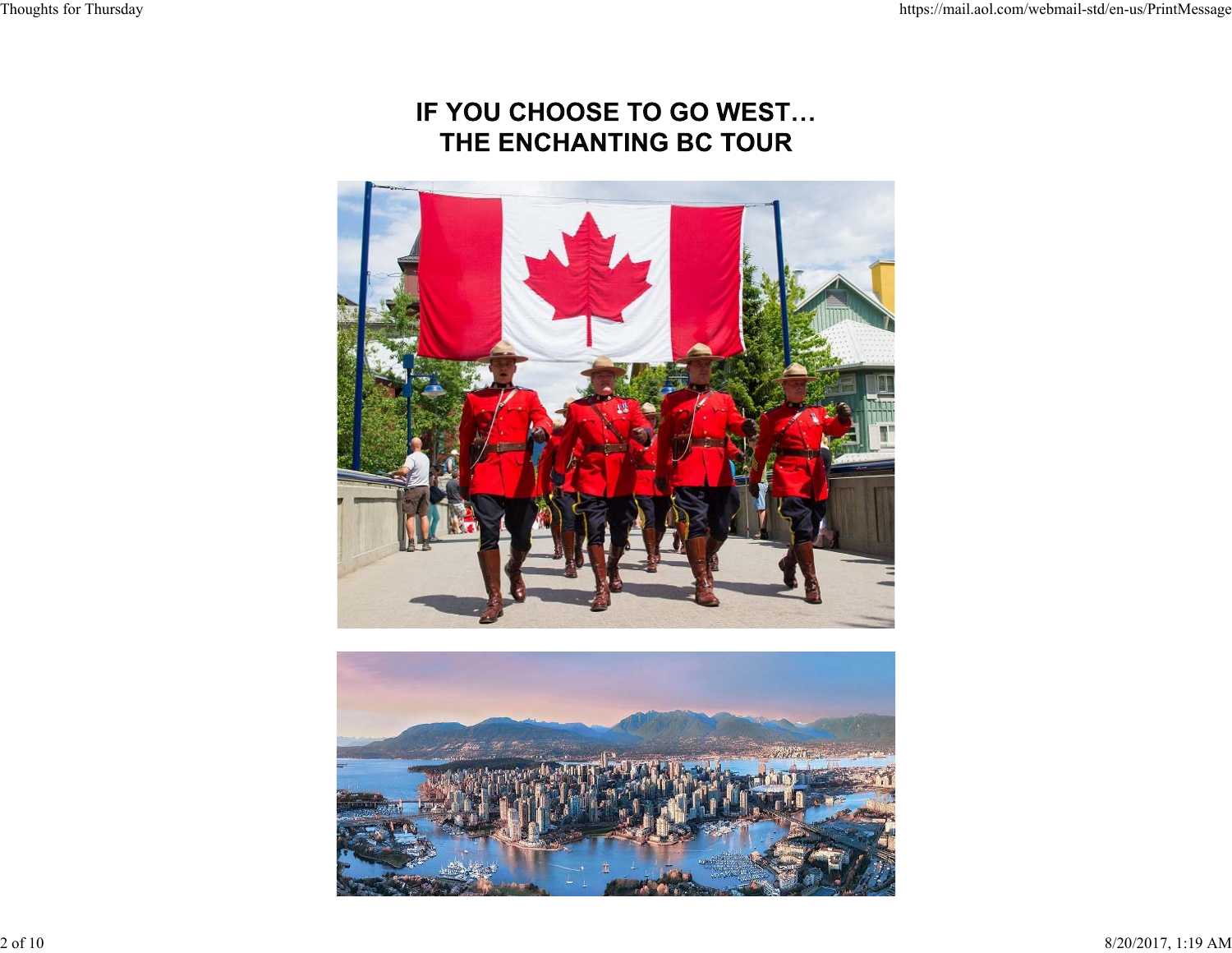# IF YOU CHOOSE TO GO WEST... THE ENCHANTING BC TOUR



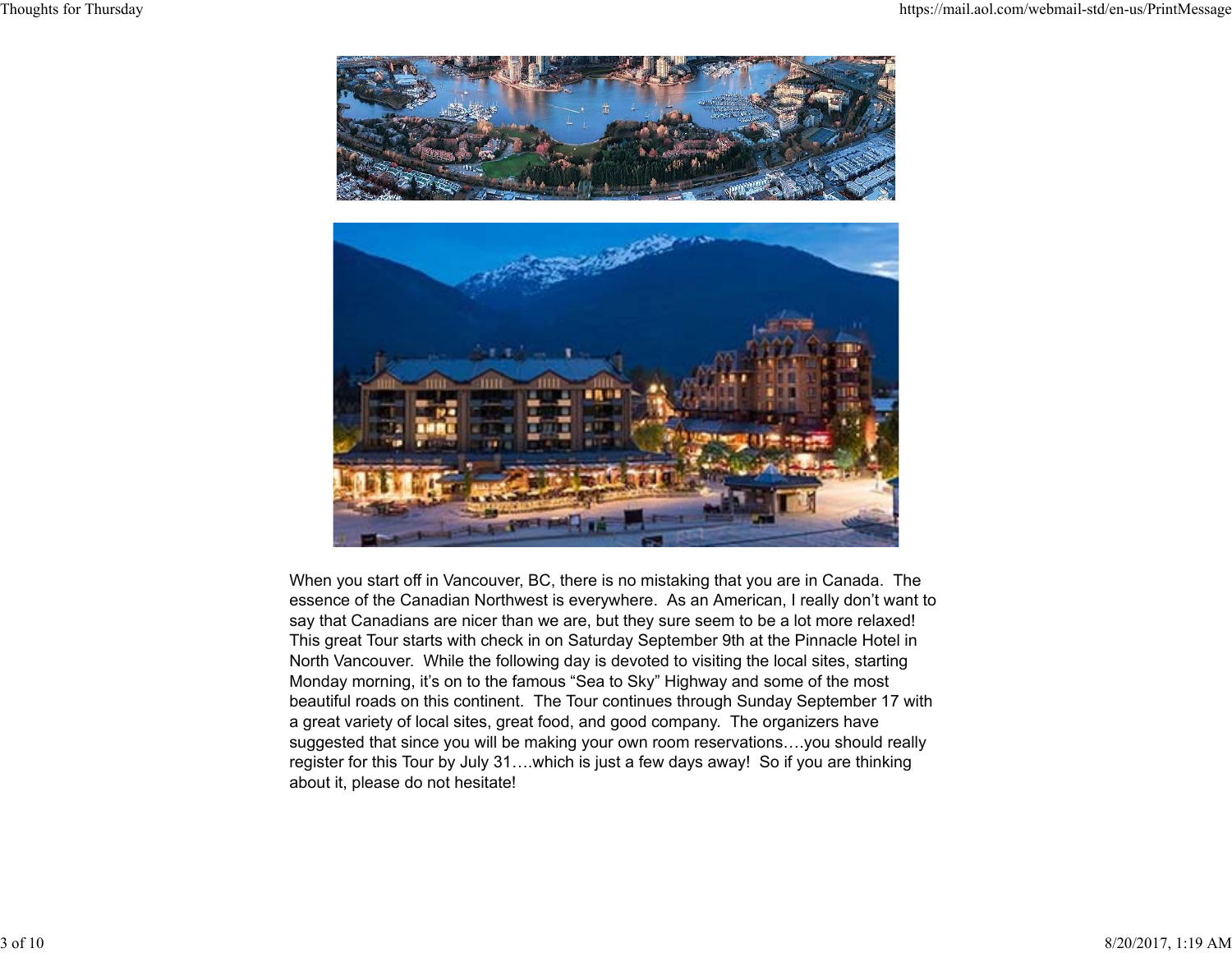

When you start off in Vancouver, BC, there is no mistaking that you are in Canada. The essence of the Canadian Northwest is everywhere. As an American, I really don't want to say that Canadians are nicer than we are, but they sure seem to be a lot more relaxed! This great Tour starts with check in on Saturday September 9th at the Pinnacle Hotel in North Vancouver. While the following day is devoted to visiting the local sites, starting Monday morning, it's on to the famous "Sea to Sky" Highway and some of the most beautiful roads on this continent. The Tour continues through Sunday September 17 with a great variety of local sites, great food, and good company. The organizers have suggested that since you will be making your own room reservations….you should really register for this Tour by July 31….which is just a few days away! So if you are thinking about it, please do not hesitate!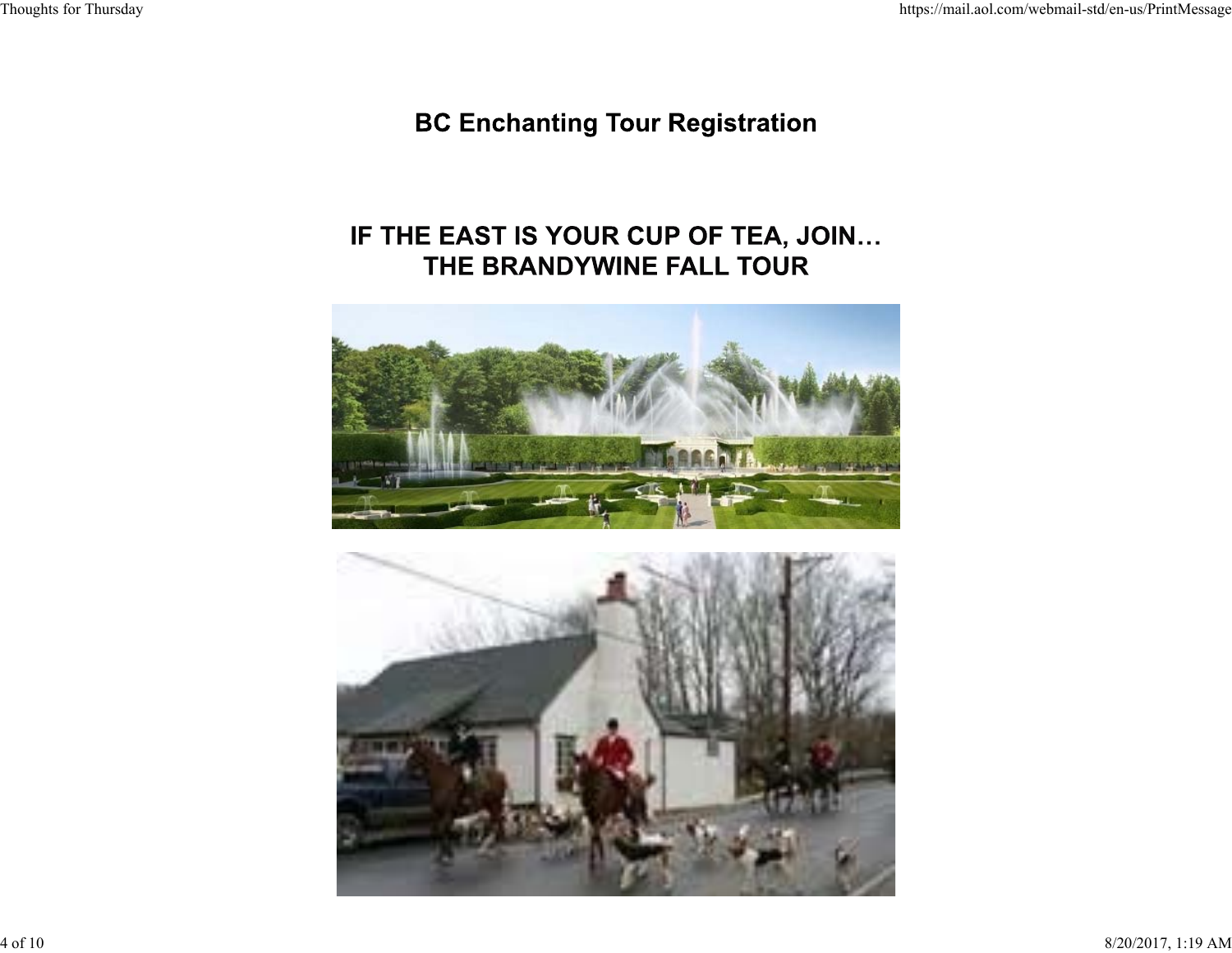## **BC Enchanting Tour Registration**

## IF THE EAST IS YOUR CUP OF TEA, JOIN... THE BRANDYWINE FALL TOUR



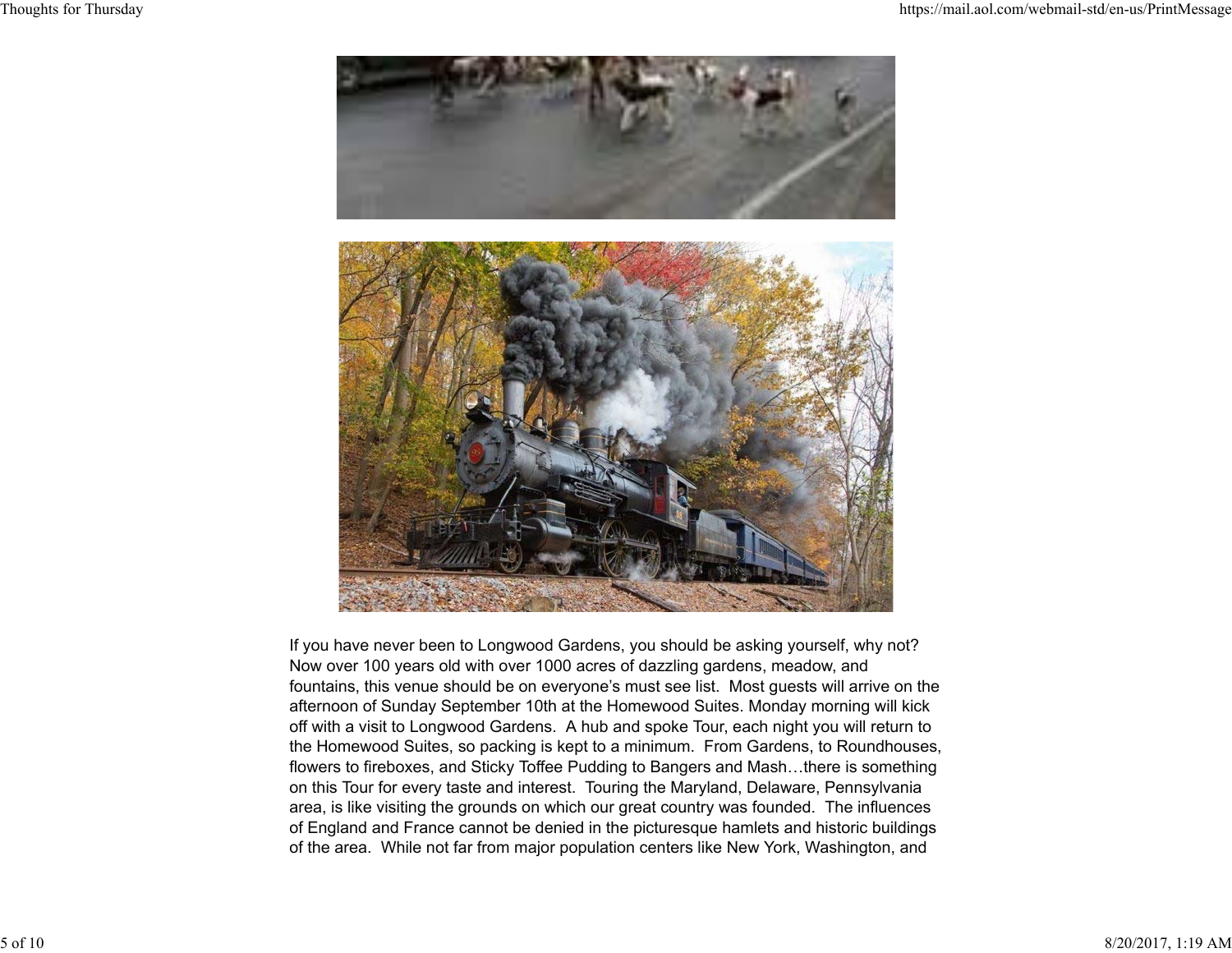

If you have never been to Longwood Gardens, you should be asking yourself, why not? Now over 100 years old with over 1000 acres of dazzling gardens, meadow, and fountains, this venue should be on everyone's must see list. Most guests will arrive on the afternoon of Sunday September 10th at the Homewood Suites. Monday morning will kick off with a visit to Longwood Gardens. A hub and spoke Tour, each night you will return to the Homewood Suites, so packing is kept to a minimum. From Gardens, to Roundhouses, flowers to fireboxes, and Sticky Toffee Pudding to Bangers and Mash…there is something on this Tour for every taste and interest. Touring the Maryland, Delaware, Pennsylvania area, is like visiting the grounds on which our great country was founded. The influences of England and France cannot be denied in the picturesque hamlets and historic buildings of the area. While not far from major population centers like New York, Washington, and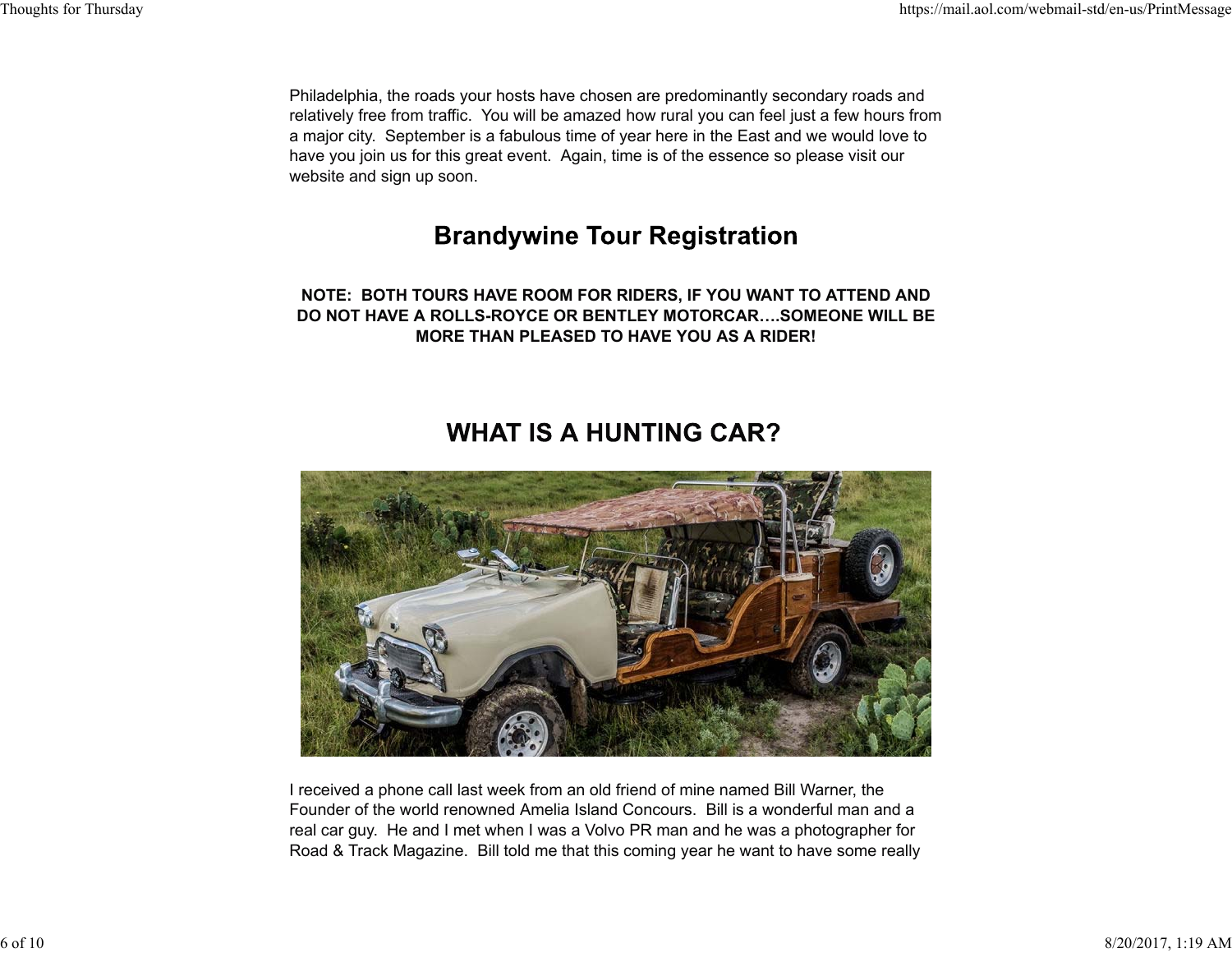Philadelphia, the roads your hosts have chosen are predominantly secondary roads and relatively free from traffic. You will be amazed how rural you can feel just a few hours from a major city. September is a fabulous time of year here in the East and we would love to have you join us for this great event. Again, time is of the essence so please visit our website and sign up soon.

#### **Brandywine Tour Registration**

**NOTE: BOTH TOURS HAVE ROOM FOR RIDERS, IF YOU WANT TO ATTEND AND DO NOT HAVE A ROLLS-ROYCE OR BENTLEY MOTORCAR….SOMEONE WILL BEMORE THAN PLEASED TO HAVE YOU AS A RIDER!**

### **WHAT IS A HUNTING CAR?**



I received a phone call last week from an old friend of mine named Bill Warner, the Founder of the world renowned Amelia Island Concours. Bill is a wonderful man and areal car guy. He and I met when I was a Volvo PR man and he was a photographer for Road & Track Magazine. Bill told me that this coming year he want to have some really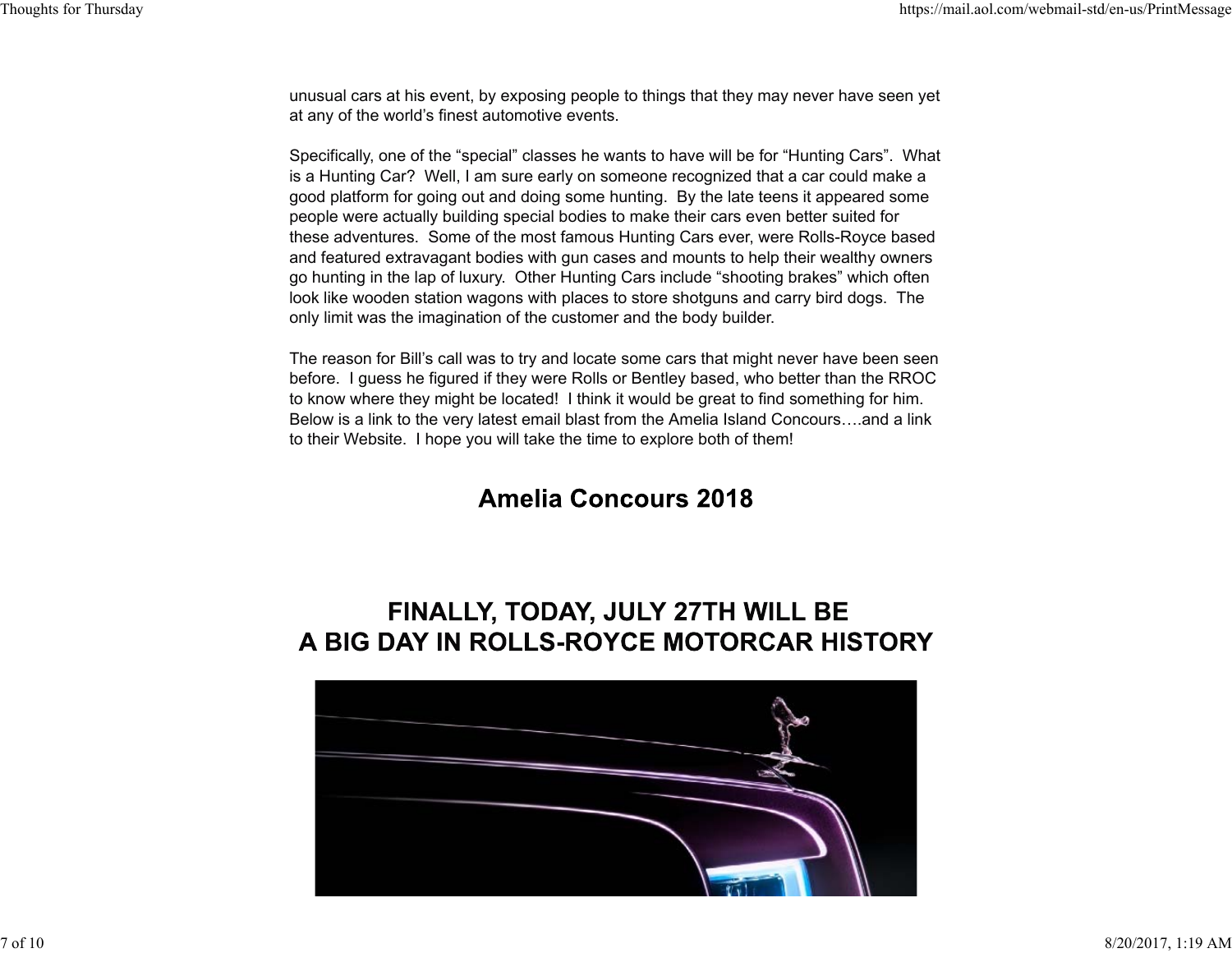unusual cars at his event, by exposing people to things that they may never have seen yet at any of the world's finest automotive events.

Specifically, one of the "special" classes he wants to have will be for "Hunting Cars". What is a Hunting Car? Well, I am sure early on someone recognized that a car could make a good platform for going out and doing some hunting. By the late teens it appeared some people were actually building special bodies to make their cars even better suited for these adventures. Some of the most famous Hunting Cars ever, were Rolls-Royce based and featured extravagant bodies with gun cases and mounts to help their wealthy owners go hunting in the lap of luxury. Other Hunting Cars include "shooting brakes" which often look like wooden station wagons with places to store shotguns and carry bird dogs. The only limit was the imagination of the customer and the body builder.

The reason for Bill's call was to try and locate some cars that might never have been seen before. I guess he figured if they were Rolls or Bentley based, who better than the RROC to know where they might be located! I think it would be great to find something for him. Below is a link to the very latest email blast from the Amelia Island Concours….and a link to their Website. I hope you will take the time to explore both of them!

### **Amelia Concours 2018**

### FINALLY, TODAY, JULY 27TH WILL BE A BIG DAY IN ROLLS-ROYCE MOTORCAR HISTORY

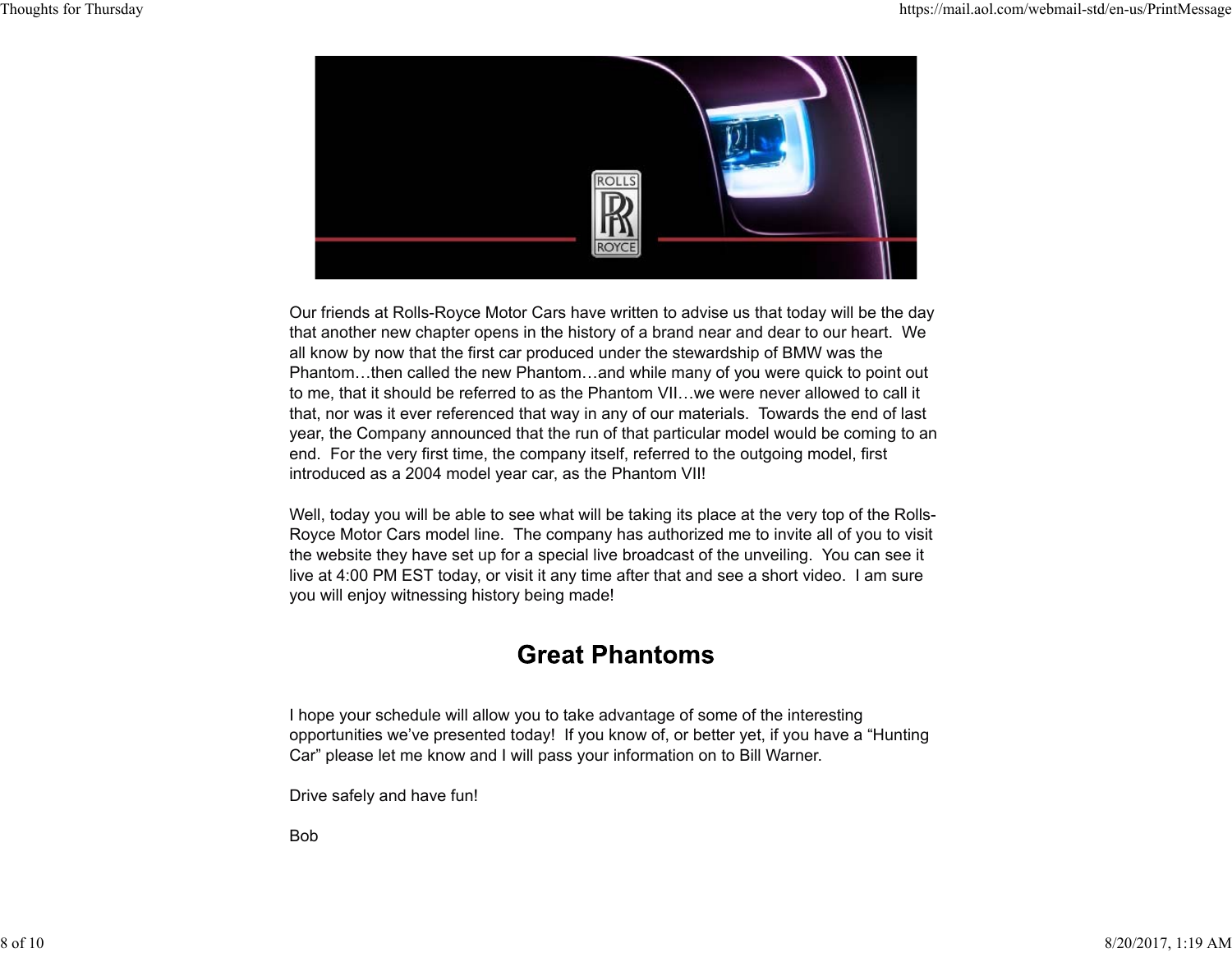

Our friends at Rolls-Royce Motor Cars have written to advise us that today will be the day that another new chapter opens in the history of a brand near and dear to our heart. We all know by now that the first car produced under the stewardship of BMW was the Phantom…then called the new Phantom…and while many of you were quick to point out to me, that it should be referred to as the Phantom VII…we were never allowed to call it that, nor was it ever referenced that way in any of our materials. Towards the end of last year, the Company announced that the run of that particular model would be coming to an end. For the very first time, the company itself, referred to the outgoing model, first introduced as a 2004 model year car, as the Phantom VII!

Well, today you will be able to see what will be taking its place at the very top of the Rolls-Royce Motor Cars model line. The company has authorized me to invite all of you to visit the website they have set up for a special live broadcast of the unveiling. You can see it live at 4:00 PM EST today, or visit it any time after that and see a short video. I am sure you will enjoy witnessing history being made!

#### **Great Phantoms**

I hope your schedule will allow you to take advantage of some of the interesting opportunities we've presented today! If you know of, or better yet, if you have a "Hunting Car" please let me know and I will pass your information on to Bill Warner.

Drive safely and have fun!

Bob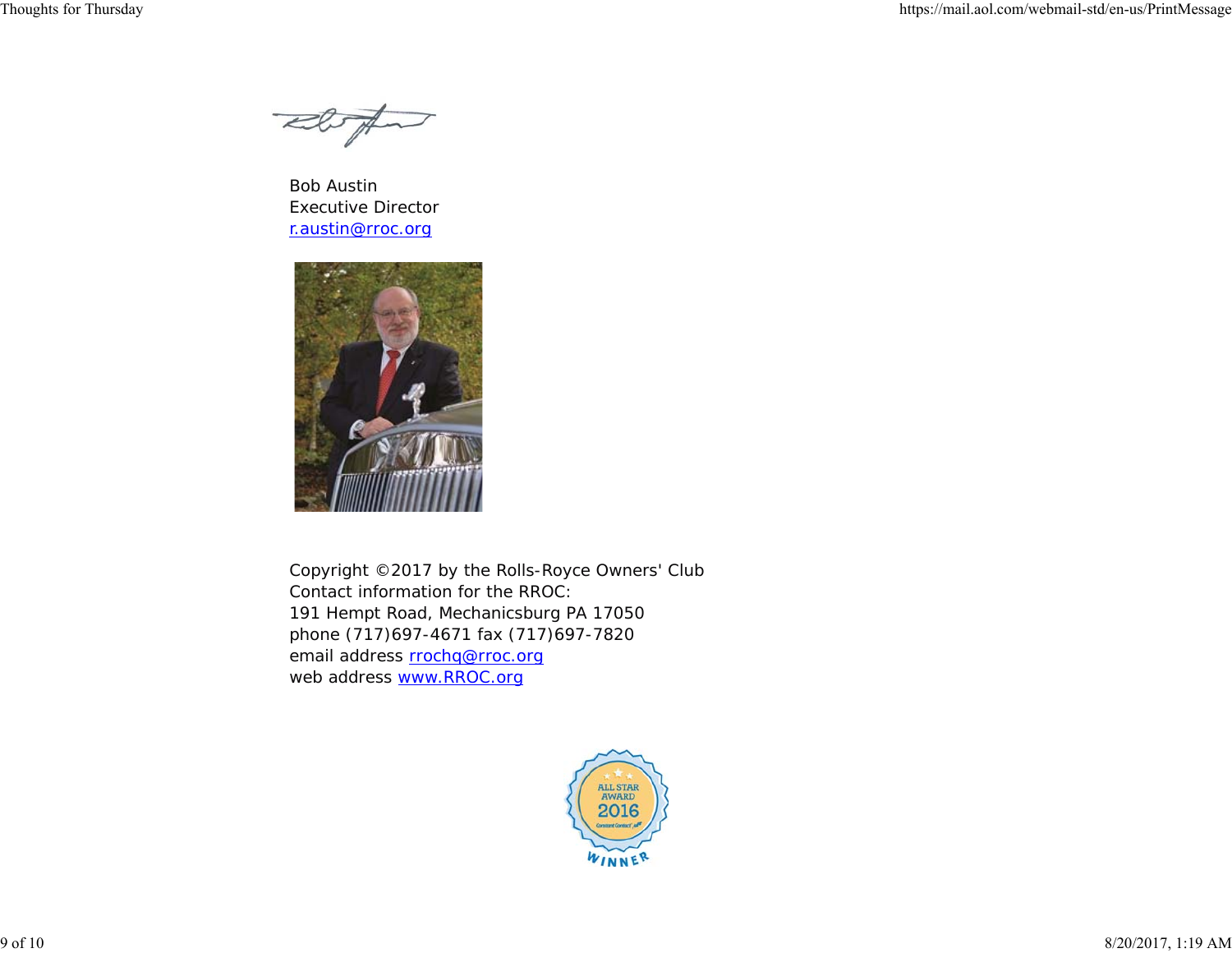abort

Bob Austin Executive Director r.austin@rroc.org



Copyright ©2017 by the Rolls-Royce Owners' Club Contact information for the RROC: 191 Hempt Road, Mechanicsburg PA 17050 phone (717)697-4671 fax (717)697-7820 email address rrochq@rroc.org web address www.RROC.org